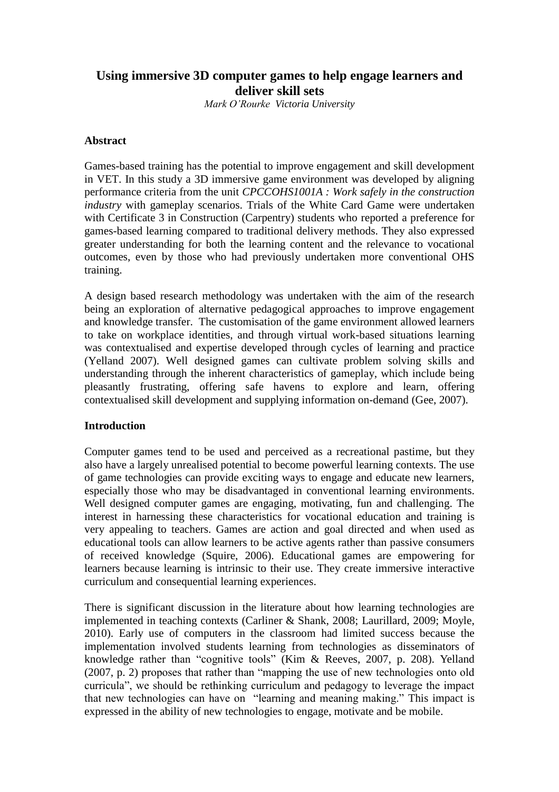# **Using immersive 3D computer games to help engage learners and deliver skill sets**

*Mark O'Rourke Victoria University*

## **Abstract**

Games-based training has the potential to improve engagement and skill development in VET. In this study a 3D immersive game environment was developed by aligning performance criteria from the unit *CPCCOHS1001A : Work safely in the construction industry* with gameplay scenarios. Trials of the White Card Game were undertaken with Certificate 3 in Construction (Carpentry) students who reported a preference for games-based learning compared to traditional delivery methods. They also expressed greater understanding for both the learning content and the relevance to vocational outcomes, even by those who had previously undertaken more conventional OHS training.

A design based research methodology was undertaken with the aim of the research being an exploration of alternative pedagogical approaches to improve engagement and knowledge transfer. The customisation of the game environment allowed learners to take on workplace identities, and through virtual work-based situations learning was contextualised and expertise developed through cycles of learning and practice (Yelland 2007). Well designed games can cultivate problem solving skills and understanding through the inherent characteristics of gameplay, which include being pleasantly frustrating, offering safe havens to explore and learn, offering contextualised skill development and supplying information on-demand [\(Gee, 2007\)](#page-9-0).

# **Introduction**

Computer games tend to be used and perceived as a recreational pastime, but they also have a largely unrealised potential to become powerful learning contexts. The use of game technologies can provide exciting ways to engage and educate new learners, especially those who may be disadvantaged in conventional learning environments. Well designed computer games are engaging, motivating, fun and challenging. The interest in harnessing these characteristics for vocational education and training is very appealing to teachers. Games are action and goal directed and when used as educational tools can allow learners to be active agents rather than passive consumers of received knowledge [\(Squire, 2006\)](#page-10-0). Educational games are empowering for learners because learning is intrinsic to their use. They create immersive interactive curriculum and consequential learning experiences.

There is significant discussion in the literature about how learning technologies are implemented in teaching contexts [\(Carliner & Shank, 2008;](#page-8-0) [Laurillard, 2009;](#page-9-1) [Moyle,](#page-9-2)  [2010\)](#page-9-2). Early use of computers in the classroom had limited success because the implementation involved students learning from technologies as disseminators of knowledge rather than "cognitive tools" [\(Kim & Reeves, 2007, p. 208\)](#page-9-3). Yelland [\(2007, p. 2\)](#page-10-1) proposes that rather than "mapping the use of new technologies onto old curricula", we should be rethinking curriculum and pedagogy to leverage the impact that new technologies can have on "learning and meaning making." This impact is expressed in the ability of new technologies to engage, motivate and be mobile.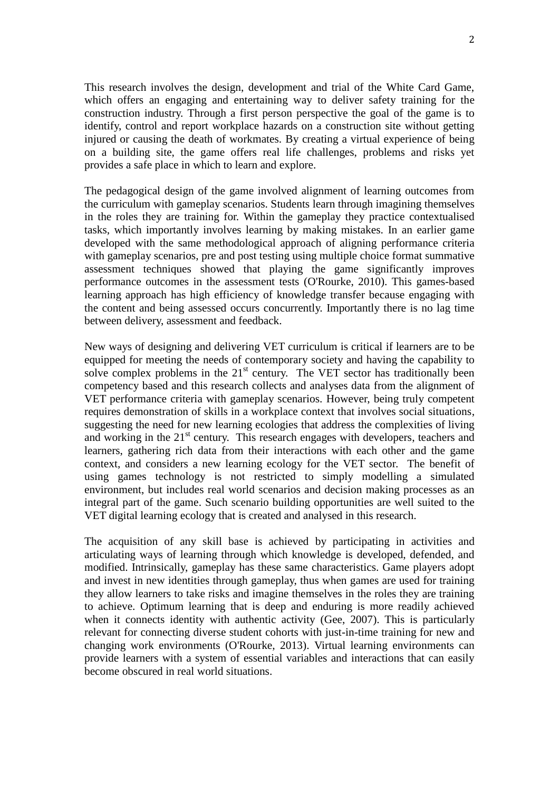This research involves the design, development and trial of the White Card Game, which offers an engaging and entertaining way to deliver safety training for the construction industry. Through a first person perspective the goal of the game is to identify, control and report workplace hazards on a construction site without getting injured or causing the death of workmates. By creating a virtual experience of being on a building site, the game offers real life challenges, problems and risks yet provides a safe place in which to learn and explore.

The pedagogical design of the game involved alignment of learning outcomes from the curriculum with gameplay scenarios. Students learn through imagining themselves in the roles they are training for. Within the gameplay they practice contextualised tasks, which importantly involves learning by making mistakes. In an earlier game developed with the same methodological approach of aligning performance criteria with gameplay scenarios, pre and post testing using multiple choice format summative assessment techniques showed that playing the game significantly improves performance outcomes in the assessment tests [\(O'Rourke, 2010\)](#page-9-4). This games-based learning approach has high efficiency of knowledge transfer because engaging with the content and being assessed occurs concurrently. Importantly there is no lag time between delivery, assessment and feedback.

New ways of designing and delivering VET curriculum is critical if learners are to be equipped for meeting the needs of contemporary society and having the capability to solve complex problems in the  $21<sup>st</sup>$  century. The VET sector has traditionally been competency based and this research collects and analyses data from the alignment of VET performance criteria with gameplay scenarios. However, being truly competent requires demonstration of skills in a workplace context that involves social situations, suggesting the need for new learning ecologies that address the complexities of living and working in the  $21<sup>st</sup>$  century. This research engages with developers, teachers and learners, gathering rich data from their interactions with each other and the game context, and considers a new learning ecology for the VET sector. The benefit of using games technology is not restricted to simply modelling a simulated environment, but includes real world scenarios and decision making processes as an integral part of the game. Such scenario building opportunities are well suited to the VET digital learning ecology that is created and analysed in this research.

The acquisition of any skill base is achieved by participating in activities and articulating ways of learning through which knowledge is developed, defended, and modified. Intrinsically, gameplay has these same characteristics. Game players adopt and invest in new identities through gameplay, thus when games are used for training they allow learners to take risks and imagine themselves in the roles they are training to achieve. Optimum learning that is deep and enduring is more readily achieved when it connects identity with authentic activity [\(Gee, 2007\)](#page-9-0). This is particularly relevant for connecting diverse student cohorts with just-in-time training for new and changing work environments [\(O'Rourke, 2013\)](#page-9-5). Virtual learning environments can provide learners with a system of essential variables and interactions that can easily become obscured in real world situations.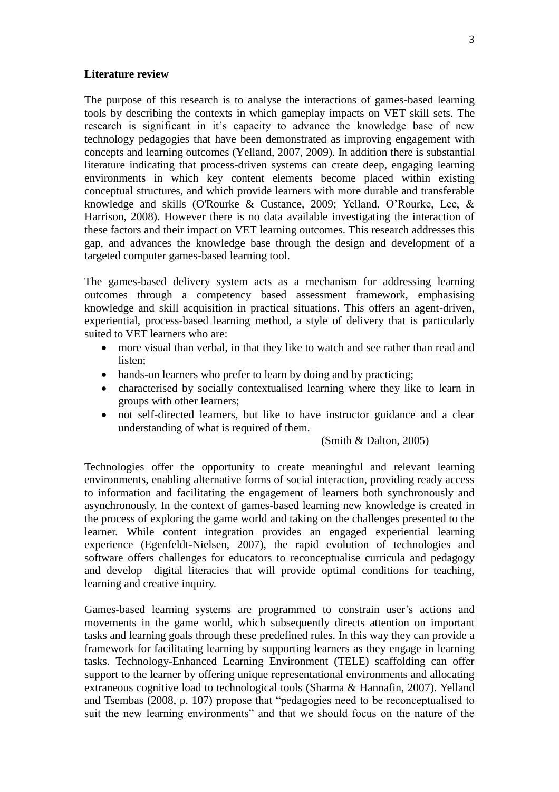#### **Literature review**

The purpose of this research is to analyse the interactions of games-based learning tools by describing the contexts in which gameplay impacts on VET skill sets. The research is significant in it's capacity to advance the knowledge base of new technology pedagogies that have been demonstrated as improving engagement with concepts and learning outcomes [\(Yelland, 2007,](#page-10-1) [2009\)](#page-10-2). In addition there is substantial literature indicating that process-driven systems can create deep, engaging learning environments in which key content elements become placed within existing conceptual structures, and which provide learners with more durable and transferable knowledge and skills [\(O'Rourke & Custance, 2009;](#page-9-6) [Yelland, O'Rourke, Lee, &](#page-10-3)  [Harrison, 2008\)](#page-10-3). However there is no data available investigating the interaction of these factors and their impact on VET learning outcomes. This research addresses this gap, and advances the knowledge base through the design and development of a targeted computer games-based learning tool.

The games-based delivery system acts as a mechanism for addressing learning outcomes through a competency based assessment framework, emphasising knowledge and skill acquisition in practical situations. This offers an agent-driven, experiential, process-based learning method, a style of delivery that is particularly suited to VET learners who are:

- more visual than verbal, in that they like to watch and see rather than read and listen;
- hands-on learners who prefer to learn by doing and by practicing;
- characterised by socially contextualised learning where they like to learn in groups with other learners;
- not self-directed learners, but like to have instructor guidance and a clear understanding of what is required of them.

#### [\(Smith & Dalton, 2005\)](#page-9-7)

Technologies offer the opportunity to create meaningful and relevant learning environments, enabling alternative forms of social interaction, providing ready access to information and facilitating the engagement of learners both synchronously and asynchronously. In the context of games-based learning new knowledge is created in the process of exploring the game world and taking on the challenges presented to the learner. While content integration provides an engaged experiential learning experience [\(Egenfeldt-Nielsen, 2007\)](#page-9-8), the rapid evolution of technologies and software offers challenges for educators to reconceptualise curricula and pedagogy and develop digital literacies that will provide optimal conditions for teaching, learning and creative inquiry.

Games-based learning systems are programmed to constrain user's actions and movements in the game world, which subsequently directs attention on important tasks and learning goals through these predefined rules. In this way they can provide a framework for facilitating learning by supporting learners as they engage in learning tasks. Technology-Enhanced Learning Environment (TELE) scaffolding can offer support to the learner by offering unique representational environments and allocating extraneous cognitive load to technological tools [\(Sharma & Hannafin, 2007\)](#page-9-9). Yelland and Tsembas [\(2008, p. 107\)](#page-10-4) propose that "pedagogies need to be reconceptualised to suit the new learning environments" and that we should focus on the nature of the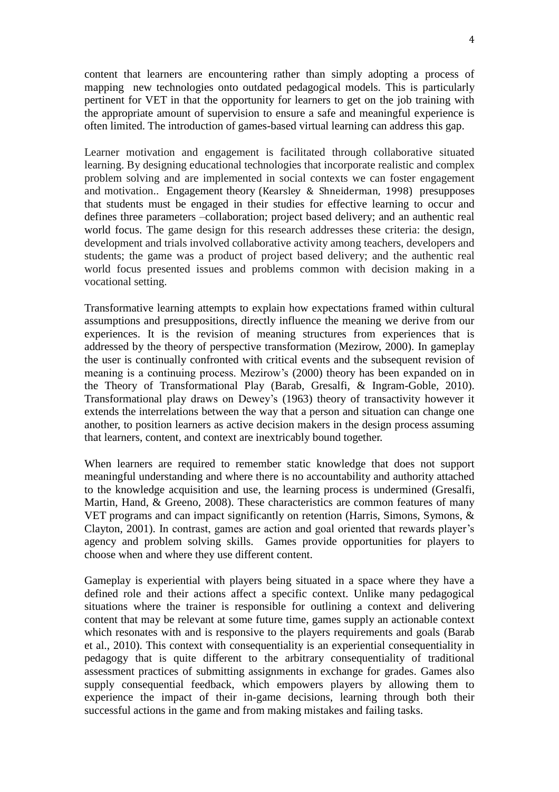content that learners are encountering rather than simply adopting a process of mapping new technologies onto outdated pedagogical models. This is particularly pertinent for VET in that the opportunity for learners to get on the job training with the appropriate amount of supervision to ensure a safe and meaningful experience is often limited. The introduction of games-based virtual learning can address this gap.

Learner motivation and engagement is facilitated through collaborative situated learning. By designing educational technologies that incorporate realistic and complex problem solving and are implemented in social contexts we can foster engagement and motivation.. Engagement theory [\(Kearsley & Shneiderman, 1998\)](#page-9-10) presupposes that students must be engaged in their studies for effective learning to occur and defines three parameters –collaboration; project based delivery; and an authentic real world focus. The game design for this research addresses these criteria: the design, development and trials involved collaborative activity among teachers, developers and students; the game was a product of project based delivery; and the authentic real world focus presented issues and problems common with decision making in a vocational setting.

Transformative learning attempts to explain how expectations framed within cultural assumptions and presuppositions, directly influence the meaning we derive from our experiences. It is the revision of meaning structures from experiences that is addressed by the theory of perspective transformation [\(Mezirow, 2000\)](#page-9-11). In gameplay the user is continually confronted with critical events and the subsequent revision of meaning is a continuing process. Mezirow's [\(2000\)](#page-9-11) theory has been expanded on in the Theory of Transformational Play [\(Barab, Gresalfi, & Ingram-Goble, 2010\)](#page-8-1). Transformational play draws on Dewey's [\(1963\)](#page-8-2) theory of transactivity however it extends the interrelations between the way that a person and situation can change one another, to position learners as active decision makers in the design process assuming that learners, content, and context are inextricably bound together.

When learners are required to remember static knowledge that does not support meaningful understanding and where there is no accountability and authority attached to the knowledge acquisition and use, the learning process is undermined [\(Gresalfi,](#page-9-12)  [Martin, Hand, & Greeno, 2008\)](#page-9-12). These characteristics are common features of many VET programs and can impact significantly on retention [\(Harris, Simons, Symons, &](#page-9-13)  [Clayton, 2001\)](#page-9-13). In contrast, games are action and goal oriented that rewards player's agency and problem solving skills. Games provide opportunities for players to choose when and where they use different content.

Gameplay is experiential with players being situated in a space where they have a defined role and their actions affect a specific context. Unlike many pedagogical situations where the trainer is responsible for outlining a context and delivering content that may be relevant at some future time, games supply an actionable context which resonates with and is responsive to the players requirements and goals [\(Barab](#page-8-1)  [et al., 2010\)](#page-8-1). This context with consequentiality is an experiential consequentiality in pedagogy that is quite different to the arbitrary consequentiality of traditional assessment practices of submitting assignments in exchange for grades. Games also supply consequential feedback, which empowers players by allowing them to experience the impact of their in-game decisions, learning through both their successful actions in the game and from making mistakes and failing tasks.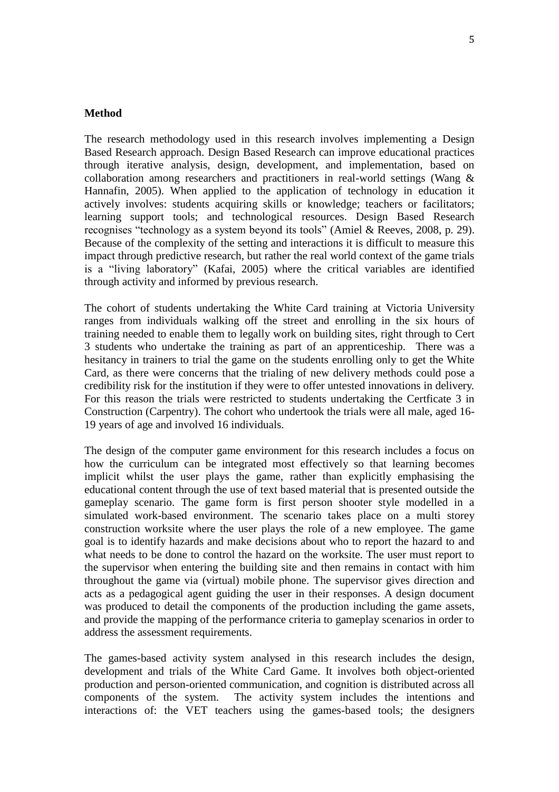#### **Method**

The research methodology used in this research involves implementing a Design Based Research approach. Design Based Research can improve educational practices through iterative analysis, design, development, and implementation, based on collaboration among researchers and practitioners in real-world settings [\(Wang &](#page-10-5)  [Hannafin, 2005\)](#page-10-5). When applied to the application of technology in education it actively involves: students acquiring skills or knowledge; teachers or facilitators; learning support tools; and technological resources. Design Based Research recognises "technology as a system beyond its tools" [\(Amiel & Reeves, 2008, p. 29\)](#page-8-3). Because of the complexity of the setting and interactions it is difficult to measure this impact through predictive research, but rather the real world context of the game trials is a "living laboratory" [\(Kafai, 2005\)](#page-9-14) where the critical variables are identified through activity and informed by previous research.

The cohort of students undertaking the White Card training at Victoria University ranges from individuals walking off the street and enrolling in the six hours of training needed to enable them to legally work on building sites, right through to Cert 3 students who undertake the training as part of an apprenticeship. There was a hesitancy in trainers to trial the game on the students enrolling only to get the White Card, as there were concerns that the trialing of new delivery methods could pose a credibility risk for the institution if they were to offer untested innovations in delivery. For this reason the trials were restricted to students undertaking the Certficate 3 in Construction (Carpentry). The cohort who undertook the trials were all male, aged 16- 19 years of age and involved 16 individuals.

The design of the computer game environment for this research includes a focus on how the curriculum can be integrated most effectively so that learning becomes implicit whilst the user plays the game, rather than explicitly emphasising the educational content through the use of text based material that is presented outside the gameplay scenario. The game form is first person shooter style modelled in a simulated work-based environment. The scenario takes place on a multi storey construction worksite where the user plays the role of a new employee. The game goal is to identify hazards and make decisions about who to report the hazard to and what needs to be done to control the hazard on the worksite. The user must report to the supervisor when entering the building site and then remains in contact with him throughout the game via (virtual) mobile phone. The supervisor gives direction and acts as a pedagogical agent guiding the user in their responses. A design document was produced to detail the components of the production including the game assets, and provide the mapping of the performance criteria to gameplay scenarios in order to address the assessment requirements.

The games-based activity system analysed in this research includes the design, development and trials of the White Card Game. It involves both object-oriented production and person-oriented communication, and cognition is distributed across all components of the system. The activity system includes the intentions and interactions of: the VET teachers using the games-based tools; the designers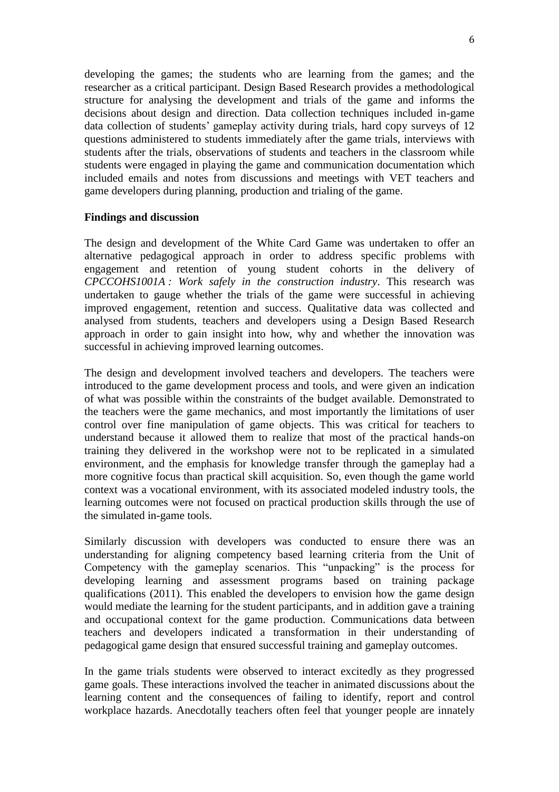developing the games; the students who are learning from the games; and the researcher as a critical participant. Design Based Research provides a methodological structure for analysing the development and trials of the game and informs the decisions about design and direction. Data collection techniques included in-game data collection of students' gameplay activity during trials, hard copy surveys of 12 questions administered to students immediately after the game trials, interviews with students after the trials, observations of students and teachers in the classroom while students were engaged in playing the game and communication documentation which included emails and notes from discussions and meetings with VET teachers and game developers during planning, production and trialing of the game.

## **Findings and discussion**

The design and development of the White Card Game was undertaken to offer an alternative pedagogical approach in order to address specific problems with engagement and retention of young student cohorts in the delivery of *CPCCOHS1001A : Work safely in the construction industry*. This research was undertaken to gauge whether the trials of the game were successful in achieving improved engagement, retention and success. Qualitative data was collected and analysed from students, teachers and developers using a Design Based Research approach in order to gain insight into how, why and whether the innovation was successful in achieving improved learning outcomes.

The design and development involved teachers and developers. The teachers were introduced to the game development process and tools, and were given an indication of what was possible within the constraints of the budget available. Demonstrated to the teachers were the game mechanics, and most importantly the limitations of user control over fine manipulation of game objects. This was critical for teachers to understand because it allowed them to realize that most of the practical hands-on training they delivered in the workshop were not to be replicated in a simulated environment, and the emphasis for knowledge transfer through the gameplay had a more cognitive focus than practical skill acquisition. So, even though the game world context was a vocational environment, with its associated modeled industry tools, the learning outcomes were not focused on practical production skills through the use of the simulated in-game tools.

Similarly discussion with developers was conducted to ensure there was an understanding for aligning competency based learning criteria from the Unit of Competency with the gameplay scenarios. This "unpacking" is the process for developing learning and assessment programs based on training package qualifications [\(2011\)](#page-8-4). This enabled the developers to envision how the game design would mediate the learning for the student participants, and in addition gave a training and occupational context for the game production. Communications data between teachers and developers indicated a transformation in their understanding of pedagogical game design that ensured successful training and gameplay outcomes.

In the game trials students were observed to interact excitedly as they progressed game goals. These interactions involved the teacher in animated discussions about the learning content and the consequences of failing to identify, report and control workplace hazards. Anecdotally teachers often feel that younger people are innately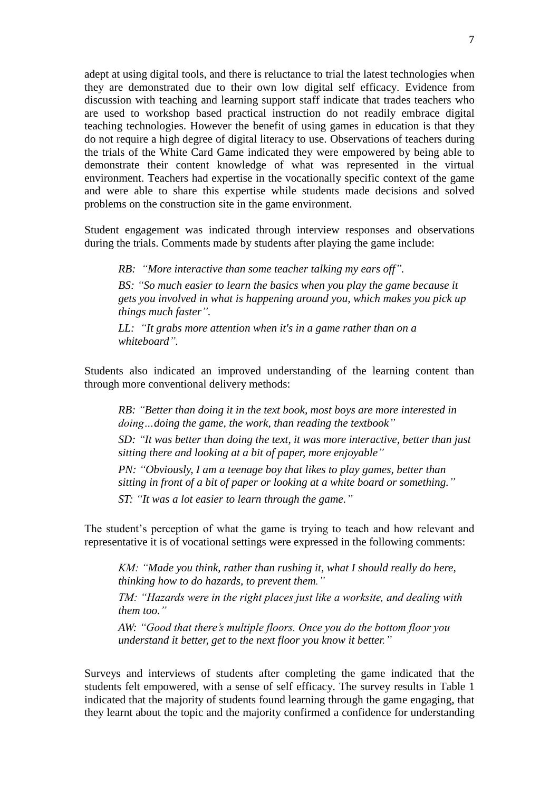adept at using digital tools, and there is reluctance to trial the latest technologies when they are demonstrated due to their own low digital self efficacy. Evidence from discussion with teaching and learning support staff indicate that trades teachers who are used to workshop based practical instruction do not readily embrace digital teaching technologies. However the benefit of using games in education is that they do not require a high degree of digital literacy to use. Observations of teachers during the trials of the White Card Game indicated they were empowered by being able to demonstrate their content knowledge of what was represented in the virtual environment. Teachers had expertise in the vocationally specific context of the game and were able to share this expertise while students made decisions and solved problems on the construction site in the game environment.

Student engagement was indicated through interview responses and observations during the trials. Comments made by students after playing the game include:

*RB: "More interactive than some teacher talking my ears off". BS: "So much easier to learn the basics when you play the game because it gets you involved in what is happening around you, which makes you pick up things much faster".* 

*LL: "It grabs more attention when it's in a game rather than on a whiteboard".* 

Students also indicated an improved understanding of the learning content than through more conventional delivery methods:

*RB: "Better than doing it in the text book, most boys are more interested in doing…doing the game, the work, than reading the textbook"*

*SD: "It was better than doing the text, it was more interactive, better than just sitting there and looking at a bit of paper, more enjoyable"*

*PN: "Obviously, I am a teenage boy that likes to play games, better than sitting in front of a bit of paper or looking at a white board or something."*

*ST: "It was a lot easier to learn through the game."*

The student's perception of what the game is trying to teach and how relevant and representative it is of vocational settings were expressed in the following comments:

*KM: "Made you think, rather than rushing it, what I should really do here, thinking how to do hazards, to prevent them."*

*TM: "Hazards were in the right places just like a worksite, and dealing with them too."*

*AW: "Good that there's multiple floors. Once you do the bottom floor you understand it better, get to the next floor you know it better."*

Surveys and interviews of students after completing the game indicated that the students felt empowered, with a sense of self efficacy. The survey results in Table 1 indicated that the majority of students found learning through the game engaging, that they learnt about the topic and the majority confirmed a confidence for understanding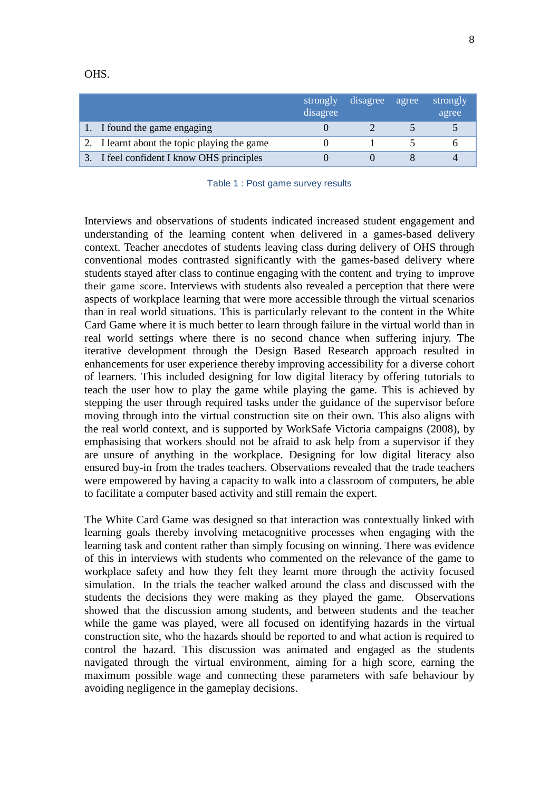OHS.

|                                              | strongly<br>disagree | disagree | agree | strongly<br>agree |
|----------------------------------------------|----------------------|----------|-------|-------------------|
| I found the game engaging                    |                      |          |       |                   |
| 2. I learnt about the topic playing the game |                      |          |       |                   |
| I feel confident I know OHS principles       |                      |          |       |                   |

| Table 1 : Post game survey results |  |  |  |  |  |
|------------------------------------|--|--|--|--|--|
|------------------------------------|--|--|--|--|--|

Interviews and observations of students indicated increased student engagement and understanding of the learning content when delivered in a games-based delivery context. Teacher anecdotes of students leaving class during delivery of OHS through conventional modes contrasted significantly with the games-based delivery where students stayed after class to continue engaging with the content and trying to improve their game score. Interviews with students also revealed a perception that there were aspects of workplace learning that were more accessible through the virtual scenarios than in real world situations. This is particularly relevant to the content in the White Card Game where it is much better to learn through failure in the virtual world than in real world settings where there is no second chance when suffering injury. The iterative development through the Design Based Research approach resulted in enhancements for user experience thereby improving accessibility for a diverse cohort of learners. This included designing for low digital literacy by offering tutorials to teach the user how to play the game while playing the game. This is achieved by stepping the user through required tasks under the guidance of the supervisor before moving through into the virtual construction site on their own. This also aligns with the real world context, and is supported by WorkSafe Victoria campaigns [\(2008\)](#page-10-6), by emphasising that workers should not be afraid to ask help from a supervisor if they are unsure of anything in the workplace. Designing for low digital literacy also ensured buy-in from the trades teachers. Observations revealed that the trade teachers were empowered by having a capacity to walk into a classroom of computers, be able to facilitate a computer based activity and still remain the expert.

The White Card Game was designed so that interaction was contextually linked with learning goals thereby involving metacognitive processes when engaging with the learning task and content rather than simply focusing on winning. There was evidence of this in interviews with students who commented on the relevance of the game to workplace safety and how they felt they learnt more through the activity focused simulation. In the trials the teacher walked around the class and discussed with the students the decisions they were making as they played the game. Observations showed that the discussion among students, and between students and the teacher while the game was played, were all focused on identifying hazards in the virtual construction site, who the hazards should be reported to and what action is required to control the hazard. This discussion was animated and engaged as the students navigated through the virtual environment, aiming for a high score, earning the maximum possible wage and connecting these parameters with safe behaviour by avoiding negligence in the gameplay decisions.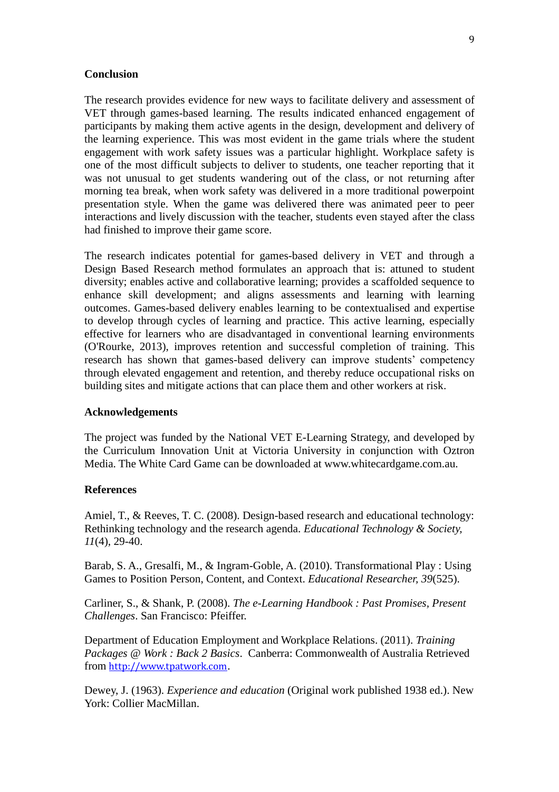#### **Conclusion**

The research provides evidence for new ways to facilitate delivery and assessment of VET through games-based learning. The results indicated enhanced engagement of participants by making them active agents in the design, development and delivery of the learning experience. This was most evident in the game trials where the student engagement with work safety issues was a particular highlight. Workplace safety is one of the most difficult subjects to deliver to students, one teacher reporting that it was not unusual to get students wandering out of the class, or not returning after morning tea break, when work safety was delivered in a more traditional powerpoint presentation style. When the game was delivered there was animated peer to peer interactions and lively discussion with the teacher, students even stayed after the class had finished to improve their game score.

The research indicates potential for games-based delivery in VET and through a Design Based Research method formulates an approach that is: attuned to student diversity; enables active and collaborative learning; provides a scaffolded sequence to enhance skill development; and aligns assessments and learning with learning outcomes. Games-based delivery enables learning to be contextualised and expertise to develop through cycles of learning and practice. This active learning, especially effective for learners who are disadvantaged in conventional learning environments [\(O'Rourke,](#page-9-5) 2013), improves retention and successful completion of training. This research has shown that games-based delivery can improve students' competency through elevated engagement and retention, and thereby reduce occupational risks on building sites and mitigate actions that can place them and other workers at risk.

### **Acknowledgements**

The project was funded by the National VET E-Learning Strategy, and developed by the Curriculum Innovation Unit at Victoria University in conjunction with Oztron Media. The White Card Game can be downloaded at www.whitecardgame.com.au.

# **References**

<span id="page-8-3"></span>Amiel, T., & Reeves, T. C. (2008). Design-based research and educational technology: Rethinking technology and the research agenda. *Educational Technology & Society, 11*(4), 29-40.

<span id="page-8-1"></span>Barab, S. A., Gresalfi, M., & Ingram-Goble, A. (2010). Transformational Play : Using Games to Position Person, Content, and Context. *Educational Researcher, 39*(525).

<span id="page-8-0"></span>Carliner, S., & Shank, P. (2008). *The e-Learning Handbook : Past Promises, Present Challenges*. San Francisco: Pfeiffer.

<span id="page-8-4"></span>Department of Education Employment and Workplace Relations. (2011). *Training Packages @ Work : Back 2 Basics*. Canberra: Commonwealth of Australia Retrieved from [http://www.tpatwork.com](http://www.tpatwork.com/).

<span id="page-8-2"></span>Dewey, J. (1963). *Experience and education* (Original work published 1938 ed.). New York: Collier MacMillan.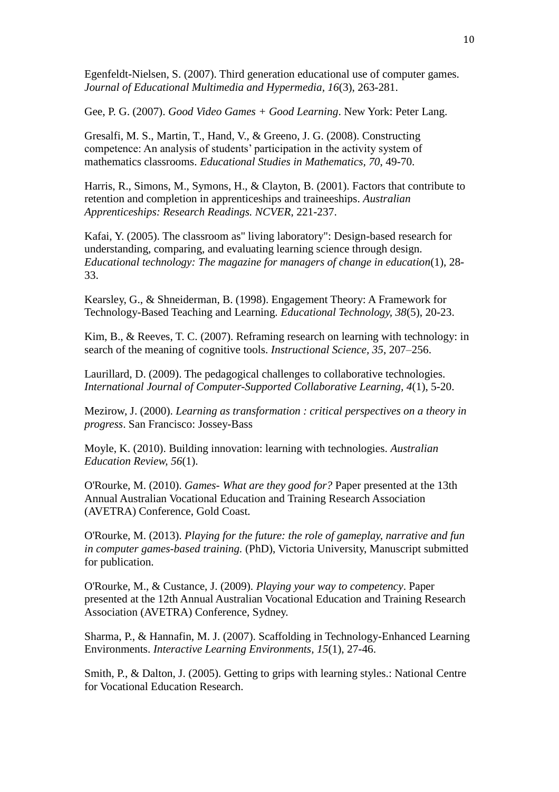<span id="page-9-8"></span>Egenfeldt-Nielsen, S. (2007). Third generation educational use of computer games. *Journal of Educational Multimedia and Hypermedia, 16*(3), 263-281.

<span id="page-9-0"></span>Gee, P. G. (2007). *Good Video Games + Good Learning*. New York: Peter Lang.

<span id="page-9-12"></span>Gresalfi, M. S., Martin, T., Hand, V., & Greeno, J. G. (2008). Constructing competence: An analysis of students' participation in the activity system of mathematics classrooms. *Educational Studies in Mathematics, 70*, 49-70.

<span id="page-9-13"></span>Harris, R., Simons, M., Symons, H., & Clayton, B. (2001). Factors that contribute to retention and completion in apprenticeships and traineeships. *Australian Apprenticeships: Research Readings. NCVER*, 221-237.

<span id="page-9-14"></span>Kafai, Y. (2005). The classroom as" living laboratory": Design-based research for understanding, comparing, and evaluating learning science through design. *Educational technology: The magazine for managers of change in education*(1), 28- 33.

<span id="page-9-10"></span>Kearsley, G., & Shneiderman, B. (1998). Engagement Theory: A Framework for Technology-Based Teaching and Learning. *Educational Technology, 38*(5), 20-23.

<span id="page-9-3"></span>Kim, B., & Reeves, T. C. (2007). Reframing research on learning with technology: in search of the meaning of cognitive tools. *Instructional Science, 35*, 207–256.

<span id="page-9-1"></span>Laurillard, D. (2009). The pedagogical challenges to collaborative technologies. *International Journal of Computer-Supported Collaborative Learning, 4*(1), 5-20.

<span id="page-9-11"></span>Mezirow, J. (2000). *Learning as transformation : critical perspectives on a theory in progress*. San Francisco: Jossey-Bass

<span id="page-9-2"></span>Moyle, K. (2010). Building innovation: learning with technologies. *Australian Education Review, 56*(1).

<span id="page-9-4"></span>O'Rourke, M. (2010). *Games- What are they good for?* Paper presented at the 13th Annual Australian Vocational Education and Training Research Association (AVETRA) Conference, Gold Coast.

<span id="page-9-5"></span>O'Rourke, M. (2013). *Playing for the future: the role of gameplay, narrative and fun in computer games-based training.* (PhD), Victoria University, Manuscript submitted for publication.

<span id="page-9-6"></span>O'Rourke, M., & Custance, J. (2009). *Playing your way to competency*. Paper presented at the 12th Annual Australian Vocational Education and Training Research Association (AVETRA) Conference, Sydney.

<span id="page-9-9"></span>Sharma, P., & Hannafin, M. J. (2007). Scaffolding in Technology-Enhanced Learning Environments. *Interactive Learning Environments, 15*(1), 27-46.

<span id="page-9-7"></span>Smith, P., & Dalton, J. (2005). Getting to grips with learning styles.: National Centre for Vocational Education Research.